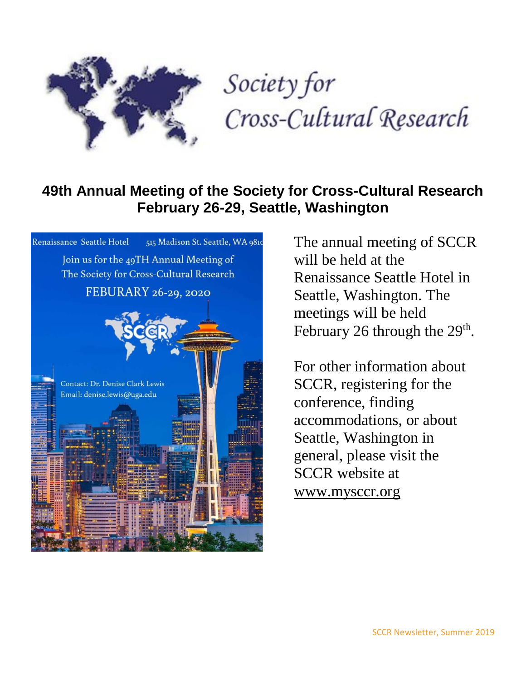

# Society for Cross-Cultural Research

# **49th Annual Meeting of the Society for Cross-Cultural Research February 26-29, Seattle, Washington**



The annual meeting of SCCR will be held at the Renaissance Seattle Hotel in Seattle, Washington. The meetings will be held February 26 through the  $29<sup>th</sup>$ .

For other information about SCCR, registering for the conference, finding accommodations, or about Seattle, Washington in general, please visit the SCCR website at [www.mysccr.org](http://www.mysccr.org/)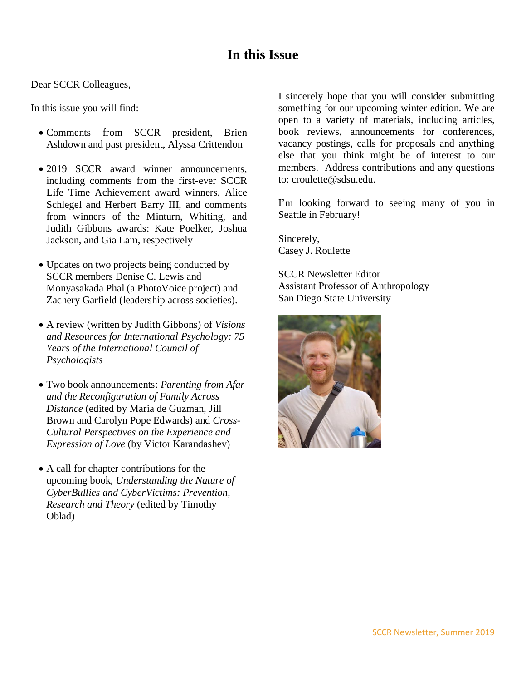### **In this Issue**

Dear SCCR Colleagues,

In this issue you will find:

- Comments from SCCR president, Brien Ashdown and past president, Alyssa Crittendon
- 2019 SCCR award winner announcements, including comments from the first-ever SCCR Life Time Achievement award winners, Alice Schlegel and Herbert Barry III, and comments from winners of the Minturn, Whiting, and Judith Gibbons awards: Kate Poelker, Joshua Jackson, and Gia Lam, respectively
- Updates on two projects being conducted by SCCR members Denise C. Lewis and Monyasakada Phal (a PhotoVoice project) and Zachery Garfield (leadership across societies).
- A review (written by Judith Gibbons) of *Visions and Resources for International Psychology: 75 Years of the International Council of Psychologists*
- Two book announcements: *Parenting from Afar and the Reconfiguration of Family Across Distance* (edited by Maria de Guzman, Jill Brown and Carolyn Pope Edwards) and *Cross-Cultural Perspectives on the Experience and Expression of Love* (by Victor Karandashev)
- A call for chapter contributions for the upcoming book, *Understanding the Nature of CyberBullies and CyberVictims: Prevention, Research and Theory* (edited by Timothy Oblad)

I sincerely hope that you will consider submitting something for our upcoming winter edition. We are open to a variety of materials, including articles, book reviews, announcements for conferences, vacancy postings, calls for proposals and anything else that you think might be of interest to our members. Address contributions and any questions to: [croulette@sdsu.edu.](mailto:croulette@sdsu.edu)

I'm looking forward to seeing many of you in Seattle in February!

Sincerely, Casey J. Roulette

SCCR Newsletter Editor Assistant Professor of Anthropology San Diego State University

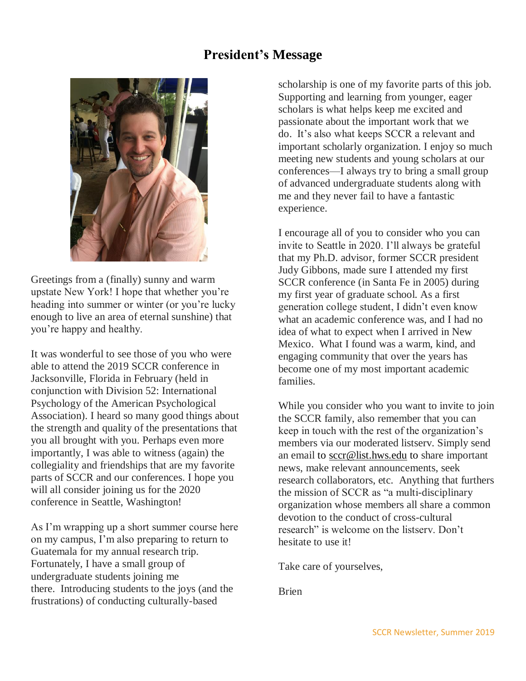### **President's Message**



Greetings from a (finally) sunny and warm upstate New York! I hope that whether you're heading into summer or winter (or you're lucky enough to live an area of eternal sunshine) that you're happy and healthy.

It was wonderful to see those of you who were able to attend the 2019 SCCR conference in Jacksonville, Florida in February (held in conjunction with Division 52: International Psychology of the American Psychological Association). I heard so many good things about the strength and quality of the presentations that you all brought with you. Perhaps even more importantly, I was able to witness (again) the collegiality and friendships that are my favorite parts of SCCR and our conferences. I hope you will all consider joining us for the 2020 conference in Seattle, Washington!

As I'm wrapping up a short summer course here on my campus, I'm also preparing to return to Guatemala for my annual research trip. Fortunately, I have a small group of undergraduate students joining me there. Introducing students to the joys (and the frustrations) of conducting culturally-based

scholarship is one of my favorite parts of this job. Supporting and learning from younger, eager scholars is what helps keep me excited and passionate about the important work that we do. It's also what keeps SCCR a relevant and important scholarly organization. I enjoy so much meeting new students and young scholars at our conferences—I always try to bring a small group of advanced undergraduate students along with me and they never fail to have a fantastic experience.

I encourage all of you to consider who you can invite to Seattle in 2020. I'll always be grateful that my Ph.D. advisor, former SCCR president Judy Gibbons, made sure I attended my first SCCR conference (in Santa Fe in 2005) during my first year of graduate school. As a first generation college student, I didn't even know what an academic conference was, and I had no idea of what to expect when I arrived in New Mexico. What I found was a warm, kind, and engaging community that over the years has become one of my most important academic families.

While you consider who you want to invite to join the SCCR family, also remember that you can keep in touch with the rest of the organization's members via our moderated listserv. Simply send an email to [sccr@list.hws.edu](mailto:sccr@list.hws.edu) to share important news, make relevant announcements, seek research collaborators, etc. Anything that furthers the mission of SCCR as "a multi-disciplinary organization whose members all share a common devotion to the conduct of cross-cultural research" is welcome on the listserv. Don't hesitate to use it!

Take care of yourselves,

Brien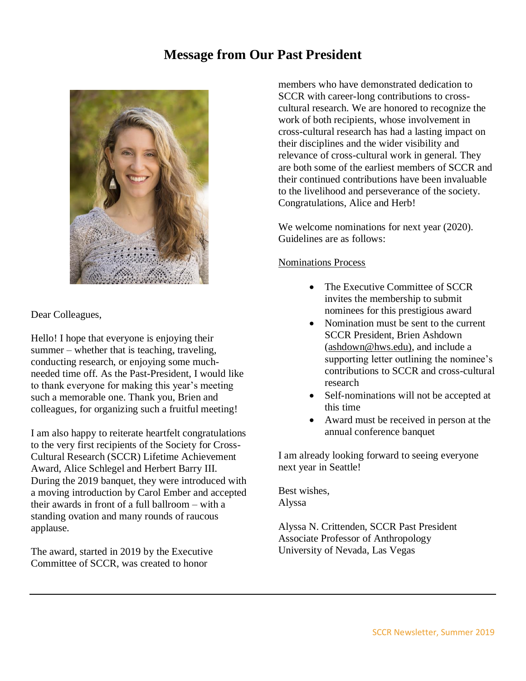### **Message from Our Past President**



Dear Colleagues,

Hello! I hope that everyone is enjoying their summer – whether that is teaching, traveling, conducting research, or enjoying some muchneeded time off. As the Past-President, I would like to thank everyone for making this year's meeting such a memorable one. Thank you, Brien and colleagues, for organizing such a fruitful meeting!

I am also happy to reiterate heartfelt congratulations to the very first recipients of the Society for Cross-Cultural Research (SCCR) Lifetime Achievement Award, Alice Schlegel and Herbert Barry III. During the 2019 banquet, they were introduced with a moving introduction by Carol Ember and accepted their awards in front of a full ballroom – with a standing ovation and many rounds of raucous applause.

The award, started in 2019 by the Executive Committee of SCCR, was created to honor

members who have demonstrated dedication to SCCR with career-long contributions to crosscultural research. We are honored to recognize the work of both recipients, whose involvement in cross-cultural research has had a lasting impact on their disciplines and the wider visibility and relevance of cross-cultural work in general. They are both some of the earliest members of SCCR and their continued contributions have been invaluable to the livelihood and perseverance of the society. Congratulations, Alice and Herb!

We welcome nominations for next year (2020). Guidelines are as follows:

### Nominations Process

- The Executive Committee of SCCR invites the membership to submit nominees for this prestigious award
- Nomination must be sent to the current SCCR President, Brien Ashdown [\(ashdown@hws.edu\),](mailto:ashdown@hws.edu)) and include a supporting letter outlining the nominee's contributions to SCCR and cross-cultural research
- Self-nominations will not be accepted at this time
- Award must be received in person at the annual conference banquet

I am already looking forward to seeing everyone next year in Seattle!

Best wishes, Alyssa

Alyssa N. Crittenden, SCCR Past President Associate Professor of Anthropology University of Nevada, Las Vegas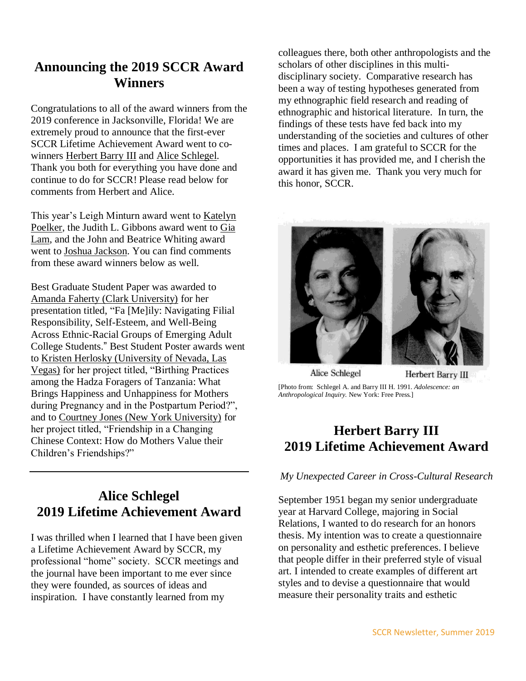# **Announcing the 2019 SCCR Award Winners**

Congratulations to all of the award winners from the 2019 conference in Jacksonville, Florida! We are extremely proud to announce that the first-ever SCCR Lifetime Achievement Award went to cowinners Herbert Barry III and Alice Schlegel. Thank you both for everything you have done and continue to do for SCCR! Please read below for comments from Herbert and Alice.

This year's Leigh Minturn award went to Katelyn Poelker, the Judith L. Gibbons award went to Gia Lam, and the John and Beatrice Whiting award went to Joshua Jackson. You can find comments from these award winners below as well.

Best Graduate Student Paper was awarded to Amanda Faherty (Clark University) for her presentation titled, "Fa [Me]ily: Navigating Filial Responsibility, Self-Esteem, and Well-Being Across Ethnic-Racial Groups of Emerging Adult College Students." Best Student Poster awards went to Kristen Herlosky (University of Nevada, Las Vegas) for her project titled, "Birthing Practices among the Hadza Foragers of Tanzania: What Brings Happiness and Unhappiness for Mothers during Pregnancy and in the Postpartum Period?", and to Courtney Jones (New York University) for her project titled, "Friendship in a Changing Chinese Context: How do Mothers Value their Children's Friendships?"

# **Alice Schlegel 2019 Lifetime Achievement Award**

I was thrilled when I learned that I have been given a Lifetime Achievement Award by SCCR, my professional "home" society. SCCR meetings and the journal have been important to me ever since they were founded, as sources of ideas and inspiration. I have constantly learned from my

colleagues there, both other anthropologists and the scholars of other disciplines in this multidisciplinary society. Comparative research has been a way of testing hypotheses generated from my ethnographic field research and reading of ethnographic and historical literature. In turn, the findings of these tests have fed back into my understanding of the societies and cultures of other times and places. I am grateful to SCCR for the opportunities it has provided me, and I cherish the award it has given me. Thank you very much for this honor, SCCR.



[Photo from: Schlegel A. and Barry III H. 1991. *Adolescence: an Anthropological Inquiry.* New York: Free Press.]

# **Herbert Barry III 2019 Lifetime Achievement Award**

### *My Unexpected Career in Cross-Cultural Research*

September 1951 began my senior undergraduate year at Harvard College, majoring in Social Relations, I wanted to do research for an honors thesis. My intention was to create a questionnaire on personality and esthetic preferences. I believe that people differ in their preferred style of visual art. I intended to create examples of different art styles and to devise a questionnaire that would measure their personality traits and esthetic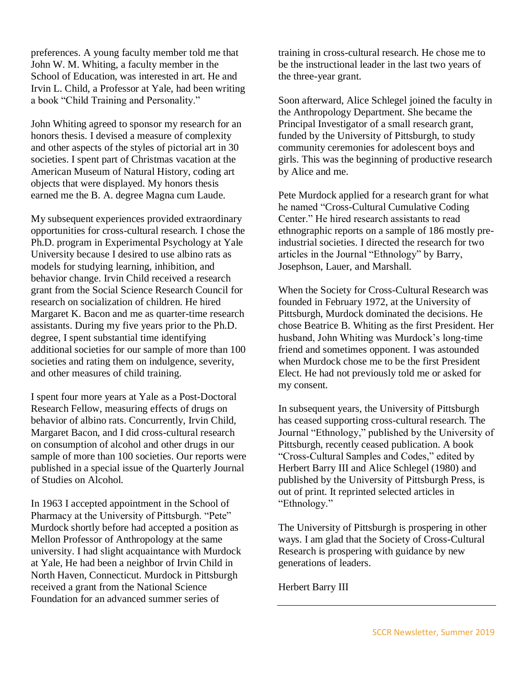preferences. A young faculty member told me that John W. M. Whiting, a faculty member in the School of Education, was interested in art. He and Irvin L. Child, a Professor at Yale, had been writing a book "Child Training and Personality."

John Whiting agreed to sponsor my research for an honors thesis. I devised a measure of complexity and other aspects of the styles of pictorial art in 30 societies. I spent part of Christmas vacation at the American Museum of Natural History, coding art objects that were displayed. My honors thesis earned me the B. A. degree Magna cum Laude.

My subsequent experiences provided extraordinary opportunities for cross-cultural research. I chose the Ph.D. program in Experimental Psychology at Yale University because I desired to use albino rats as models for studying learning, inhibition, and behavior change. Irvin Child received a research grant from the Social Science Research Council for research on socialization of children. He hired Margaret K. Bacon and me as quarter-time research assistants. During my five years prior to the Ph.D. degree, I spent substantial time identifying additional societies for our sample of more than 100 societies and rating them on indulgence, severity, and other measures of child training.

I spent four more years at Yale as a Post-Doctoral Research Fellow, measuring effects of drugs on behavior of albino rats. Concurrently, Irvin Child, Margaret Bacon, and I did cross-cultural research on consumption of alcohol and other drugs in our sample of more than 100 societies. Our reports were published in a special issue of the Quarterly Journal of Studies on Alcohol.

In 1963 I accepted appointment in the School of Pharmacy at the University of Pittsburgh. "Pete" Murdock shortly before had accepted a position as Mellon Professor of Anthropology at the same university. I had slight acquaintance with Murdock at Yale, He had been a neighbor of Irvin Child in North Haven, Connecticut. Murdock in Pittsburgh received a grant from the National Science Foundation for an advanced summer series of

training in cross-cultural research. He chose me to be the instructional leader in the last two years of the three-year grant.

Soon afterward, Alice Schlegel joined the faculty in the Anthropology Department. She became the Principal Investigator of a small research grant, funded by the University of Pittsburgh, to study community ceremonies for adolescent boys and girls. This was the beginning of productive research by Alice and me.

Pete Murdock applied for a research grant for what he named "Cross-Cultural Cumulative Coding Center." He hired research assistants to read ethnographic reports on a sample of 186 mostly preindustrial societies. I directed the research for two articles in the Journal "Ethnology" by Barry, Josephson, Lauer, and Marshall.

When the Society for Cross-Cultural Research was founded in February 1972, at the University of Pittsburgh, Murdock dominated the decisions. He chose Beatrice B. Whiting as the first President. Her husband, John Whiting was Murdock's long-time friend and sometimes opponent. I was astounded when Murdock chose me to be the first President Elect. He had not previously told me or asked for my consent.

In subsequent years, the University of Pittsburgh has ceased supporting cross-cultural research. The Journal "Ethnology," published by the University of Pittsburgh, recently ceased publication. A book "Cross-Cultural Samples and Codes," edited by Herbert Barry III and Alice Schlegel (1980) and published by the University of Pittsburgh Press, is out of print. It reprinted selected articles in "Ethnology."

The University of Pittsburgh is prospering in other ways. I am glad that the Society of Cross-Cultural Research is prospering with guidance by new generations of leaders.

Herbert Barry III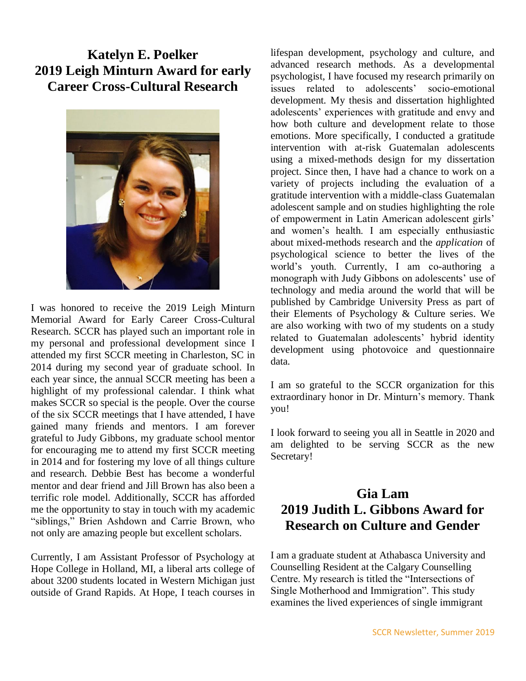# **Katelyn E. Poelker 2019 Leigh Minturn Award for early Career Cross-Cultural Research**



I was honored to receive the 2019 Leigh Minturn Memorial Award for Early Career Cross-Cultural Research. SCCR has played such an important role in my personal and professional development since I attended my first SCCR meeting in Charleston, SC in 2014 during my second year of graduate school. In each year since, the annual SCCR meeting has been a highlight of my professional calendar. I think what makes SCCR so special is the people. Over the course of the six SCCR meetings that I have attended, I have gained many friends and mentors. I am forever grateful to Judy Gibbons, my graduate school mentor for encouraging me to attend my first SCCR meeting in 2014 and for fostering my love of all things culture and research. Debbie Best has become a wonderful mentor and dear friend and Jill Brown has also been a terrific role model. Additionally, SCCR has afforded me the opportunity to stay in touch with my academic "siblings," Brien Ashdown and Carrie Brown, who not only are amazing people but excellent scholars.

Currently, I am Assistant Professor of Psychology at Hope College in Holland, MI, a liberal arts college of about 3200 students located in Western Michigan just outside of Grand Rapids. At Hope, I teach courses in

lifespan development, psychology and culture, and advanced research methods. As a developmental psychologist, I have focused my research primarily on issues related to adolescents' socio-emotional development. My thesis and dissertation highlighted adolescents' experiences with gratitude and envy and how both culture and development relate to those emotions. More specifically, I conducted a gratitude intervention with at-risk Guatemalan adolescents using a mixed-methods design for my dissertation project. Since then, I have had a chance to work on a variety of projects including the evaluation of a gratitude intervention with a middle-class Guatemalan adolescent sample and on studies highlighting the role of empowerment in Latin American adolescent girls' and women's health. I am especially enthusiastic about mixed-methods research and the *application* of psychological science to better the lives of the world's youth. Currently, I am co-authoring a monograph with Judy Gibbons on adolescents' use of technology and media around the world that will be published by Cambridge University Press as part of their Elements of Psychology & Culture series. We are also working with two of my students on a study related to Guatemalan adolescents' hybrid identity development using photovoice and questionnaire data.

I am so grateful to the SCCR organization for this extraordinary honor in Dr. Minturn's memory. Thank you!

I look forward to seeing you all in Seattle in 2020 and am delighted to be serving SCCR as the new Secretary!

# **Gia Lam 2019 Judith L. Gibbons Award for Research on Culture and Gender**

I am a graduate student at Athabasca University and Counselling Resident at the Calgary Counselling Centre. My research is titled the "Intersections of Single Motherhood and Immigration". This study examines the lived experiences of single immigrant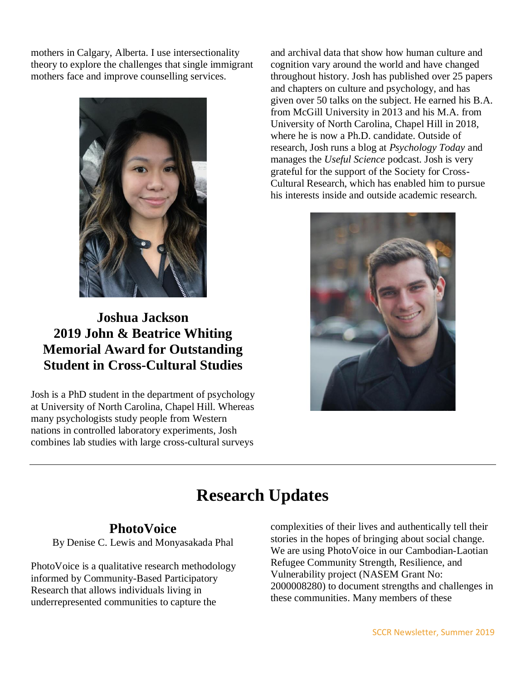mothers in Calgary, Alberta. I use intersectionality theory to explore the challenges that single immigrant mothers face and improve counselling services.



**Joshua Jackson 2019 John & Beatrice Whiting Memorial Award for Outstanding Student in Cross-Cultural Studies**

Josh is a PhD student in the department of psychology at University of North Carolina, Chapel Hill. Whereas many psychologists study people from Western nations in controlled laboratory experiments, Josh combines lab studies with large cross-cultural surveys

and archival data that show how human culture and cognition vary around the world and have changed throughout history. Josh has published over 25 papers and chapters on culture and psychology, and has given over 50 talks on the subject. He earned his B.A. from McGill University in 2013 and his M.A. from University of North Carolina, Chapel Hill in 2018, where he is now a Ph.D. candidate. Outside of research, Josh runs a blog at *Psychology Today* and manages the *Useful Science* podcast. Josh is very grateful for the support of the Society for Cross-Cultural Research, which has enabled him to pursue his interests inside and outside academic research.



# **Research Updates**

### **PhotoVoice**

By Denise C. Lewis and Monyasakada Phal

PhotoVoice is a qualitative research methodology informed by Community-Based Participatory Research that allows individuals living in underrepresented communities to capture the

complexities of their lives and authentically tell their stories in the hopes of bringing about social change. We are using PhotoVoice in our Cambodian-Laotian Refugee Community Strength, Resilience, and Vulnerability project (NASEM Grant No: 2000008280) to document strengths and challenges in these communities. Many members of these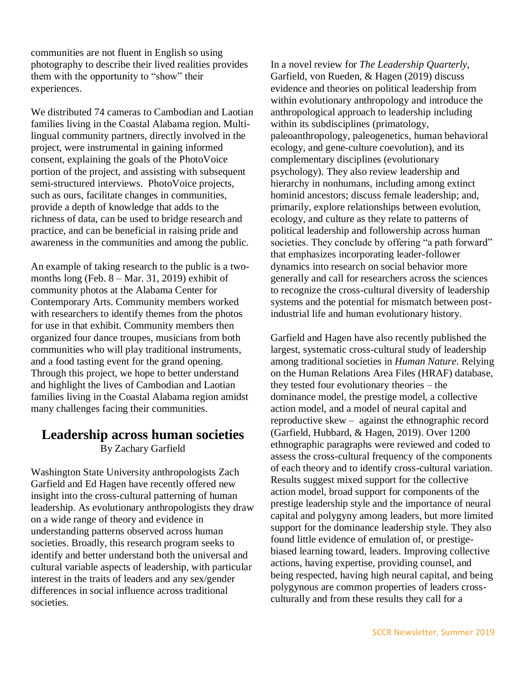communities are not fluent in English so using photography to describe their lived realities provides them with the opportunity to "show" their experiences.

We distributed 74 cameras to Cambodian and Laotian families living in the Coastal Alabama region. Multilingual community partners, directly involved in the project, were instrumental in gaining informed consent, explaining the goals of the PhotoVoice portion of the project, and assisting with subsequent semi-structured interviews. PhotoVoice projects, such as ours, facilitate changes in communities, provide a depth of knowledge that adds to the richness of data, can be used to bridge research and practice, and can be beneficial in raising pride and awareness in the communities and among the public.

An example of taking research to the public is a twomonths long (Feb. 8 – Mar. 31, 2019) exhibit of community photos at the Alabama Center for Contemporary Arts. Community members worked with researchers to identify themes from the photos for use in that exhibit. Community members then organized four dance troupes, musicians from both communities who will play traditional instruments, and a food tasting event for the grand opening. Through this project, we hope to better understand and highlight the lives of Cambodian and Laotian families living in the Coastal Alabama region amidst many challenges facing their communities.

### **Leadership across human societies**

By Zachary Garfield

Washington State University anthropologists Zach Garfield and Ed Hagen have recently offered new insight into the cross-cultural patterning of human leadership. As evolutionary anthropologists they draw on a wide range of theory and evidence in understanding patterns observed across human societies. Broadly, this research program seeks to identify and better understand both the universal and cultural variable aspects of leadership, with particular interest in the traits of leaders and any sex/gender differences in social influence across traditional societies.

In a novel review for *The Leadership Quarterly*, [Garfield, von Rueden, & Hagen \(2019\)](https://www.zotero.org/google-docs/?UllU1w) discuss evidence and theories on political leadership from within evolutionary anthropology and introduce the anthropological approach to leadership including within its subdisciplines (primatology, paleoanthropology, paleogenetics, human behavioral ecology, and gene-culture coevolution), and its complementary disciplines (evolutionary psychology). They also review leadership and hierarchy in nonhumans, including among extinct hominid ancestors; discuss female leadership; and, primarily, explore relationships between evolution, ecology, and culture as they relate to patterns of political leadership and followership across human societies. They conclude by offering "a path forward" that emphasizes incorporating leader-follower dynamics into research on social behavior more generally and call for researchers across the sciences to recognize the cross-cultural diversity of leadership systems and the potential for mismatch between postindustrial life and human evolutionary history.

Garfield and Hagen have also recently published the largest, systematic cross-cultural study of leadership among traditional societies in *Human Nature*. Relying on the Human Relations Area Files (HRAF) database, they tested four evolutionary theories – the dominance model, the prestige model, a collective action model, and a model of neural capital and reproductive skew – against the ethnographic record [\(Garfield, Hubbard, & Hagen, 2019\).](https://www.zotero.org/google-docs/?HOsUUS) Over 1200 ethnographic paragraphs were reviewed and coded to assess the cross-cultural frequency of the components of each theory and to identify cross-cultural variation. Results suggest mixed support for the collective action model, broad support for components of the prestige leadership style and the importance of neural capital and polygyny among leaders, but more limited support for the dominance leadership style. They also found little evidence of emulation of, or prestigebiased learning toward, leaders. Improving collective actions, having expertise, providing counsel, and being respected, having high neural capital, and being polygynous are common properties of leaders crossculturally and from these results they call for a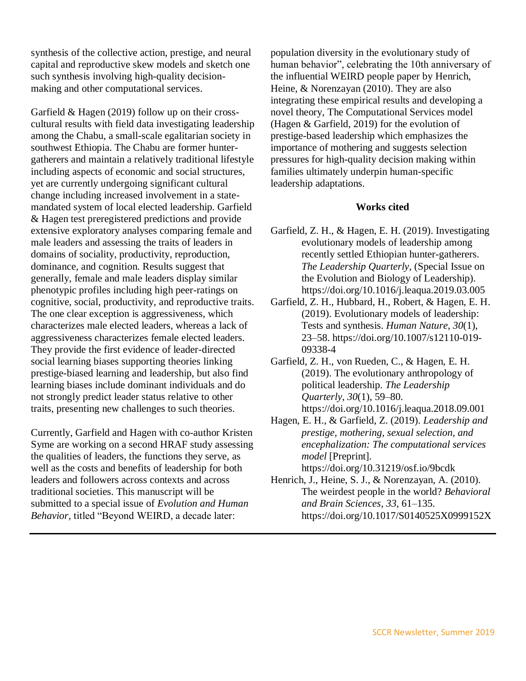synthesis of the collective action, prestige, and neural capital and reproductive skew models and sketch one such synthesis involving high-quality decisionmaking and other computational services.

[Garfield & Hagen \(2019\)](https://www.zotero.org/google-docs/?x1DHi9) follow up on their crosscultural results with field data investigating leadership among the Chabu, a small-scale egalitarian society in southwest Ethiopia. The Chabu are former huntergatherers and maintain a relatively traditional lifestyle including aspects of economic and social structures, yet are currently undergoing significant cultural change including increased involvement in a statemandated system of local elected leadership. Garfield & Hagen test preregistered predictions and provide extensive exploratory analyses comparing female and male leaders and assessing the traits of leaders in domains of sociality, productivity, reproduction, dominance, and cognition. Results suggest that generally, female and male leaders display similar phenotypic profiles including high peer-ratings on cognitive, social, productivity, and reproductive traits. The one clear exception is aggressiveness, which characterizes male elected leaders, whereas a lack of aggressiveness characterizes female elected leaders. They provide the first evidence of leader-directed social learning biases supporting theories linking prestige-biased learning and leadership, but also find learning biases include dominant individuals and do not strongly predict leader status relative to other traits, presenting new challenges to such theories.

Currently, Garfield and Hagen with co-author Kristen Syme are working on a second HRAF study assessing the qualities of leaders, the functions they serve, as well as the costs and benefits of leadership for both leaders and followers across contexts and across traditional societies. This manuscript will be submitted to a special issue of *Evolution and Human Behavior,* titled "Beyond WEIRD, a decade later:

population diversity in the evolutionary study of human behavior", celebrating the 10th anniversary of the influential WEIRD people paper by [Henrich,](https://www.zotero.org/google-docs/?lVdfLp)  [Heine, & Norenzayan \(2010\).](https://www.zotero.org/google-docs/?lVdfLp) They are also integrating these empirical results and developing a novel theory, The Computational Services model [\(Hagen & Garfield, 2019\)](https://www.zotero.org/google-docs/?Z5v36Q) for the evolution of prestige-based leadership which emphasizes the importance of mothering and suggests selection pressures for high-quality decision making within families ultimately underpin human-specific leadership adaptations.

#### **Works cited**

- [Garfield, Z. H., & Hagen, E. H. \(2019\). Investigating](https://www.zotero.org/google-docs/?Nh7Kar)  [evolutionary models of leadership among](https://www.zotero.org/google-docs/?Nh7Kar)  [recently settled Ethiopian hunter-gatherers.](https://www.zotero.org/google-docs/?Nh7Kar)  *[The Leadership Quarterly](https://www.zotero.org/google-docs/?Nh7Kar)*[, \(Special Issue on](https://www.zotero.org/google-docs/?Nh7Kar)  [the Evolution and Biology of Leadership\).](https://www.zotero.org/google-docs/?Nh7Kar)  [https://doi.org/10.1016/j.leaqua.2019.03.005](https://www.zotero.org/google-docs/?Nh7Kar)
- [Garfield, Z. H., Hubbard, H., Robert, & Hagen, E. H.](https://www.zotero.org/google-docs/?Nh7Kar)  [\(2019\). Evolutionary models of leadership:](https://www.zotero.org/google-docs/?Nh7Kar)  [Tests and synthesis.](https://www.zotero.org/google-docs/?Nh7Kar) *[Human Nature](https://www.zotero.org/google-docs/?Nh7Kar)*[,](https://www.zotero.org/google-docs/?Nh7Kar) *[30](https://www.zotero.org/google-docs/?Nh7Kar)*[\(1\),](https://www.zotero.org/google-docs/?Nh7Kar)  [23–58. https://doi.org/10.1007/s12110-019-](https://www.zotero.org/google-docs/?Nh7Kar) [09338-4](https://www.zotero.org/google-docs/?Nh7Kar)
- [Garfield, Z. H., von Rueden, C., & Hagen,](https://www.zotero.org/google-docs/?Nh7Kar) E. H. [\(2019\). The evolutionary anthropology of](https://www.zotero.org/google-docs/?Nh7Kar)  [political leadership.](https://www.zotero.org/google-docs/?Nh7Kar) *[The Leadership](https://www.zotero.org/google-docs/?Nh7Kar)  [Quarterly](https://www.zotero.org/google-docs/?Nh7Kar)*[,](https://www.zotero.org/google-docs/?Nh7Kar) *[30](https://www.zotero.org/google-docs/?Nh7Kar)*[\(1\), 59–80.](https://www.zotero.org/google-docs/?Nh7Kar)  [https://doi.org/10.1016/j.leaqua.2018.09.001](https://www.zotero.org/google-docs/?Nh7Kar)
- [Hagen, E. H., & Garfield, Z. \(2019\).](https://www.zotero.org/google-docs/?Nh7Kar) *[Leadership and](https://www.zotero.org/google-docs/?Nh7Kar)  [prestige, mothering, sexual selection, and](https://www.zotero.org/google-docs/?Nh7Kar)  [encephalization: The computational services](https://www.zotero.org/google-docs/?Nh7Kar)  [model](https://www.zotero.org/google-docs/?Nh7Kar)* [\[Preprint\].](https://www.zotero.org/google-docs/?Nh7Kar)  [https://doi.org/10.31219/osf.io/9bcdk](https://www.zotero.org/google-docs/?Nh7Kar)
- [Henrich, J., Heine, S. J., & Norenzayan, A. \(2010\).](https://www.zotero.org/google-docs/?Nh7Kar)  [The weirdest people in the world?](https://www.zotero.org/google-docs/?Nh7Kar) *[Behavioral](https://www.zotero.org/google-docs/?Nh7Kar) [and Brain Sciences](https://www.zotero.org/google-docs/?Nh7Kar)*[,](https://www.zotero.org/google-docs/?Nh7Kar) *[33](https://www.zotero.org/google-docs/?Nh7Kar)*[, 61–135.](https://www.zotero.org/google-docs/?Nh7Kar)  [https://doi.org/10.1017/S0140525X0999152X](https://www.zotero.org/google-docs/?Nh7Kar)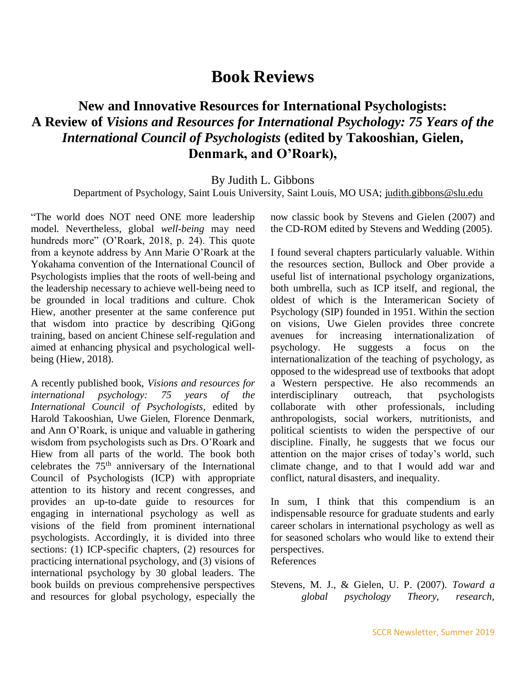# **Book Reviews**

# **New and Innovative Resources for International Psychologists: A Review of** *Visions and Resources for International Psychology: 75 Years of the International Council of Psychologists* **(edited by Takooshian, Gielen, Denmark, and O'Roark),**

#### By Judith L. Gibbons

Department of Psychology, Saint Louis University, Saint Louis, MO USA; [judith.gibbons@slu.edu](mailto:judith.gibbons@slu.edu)

"The world does NOT need ONE more leadership model. Nevertheless, global *well-being* may need hundreds more" (O'Roark, 2018, p. 24). This quote from a keynote address by Ann Marie O'Roark at the Yokahama convention of the International Council of Psychologists implies that the roots of well-being and the leadership necessary to achieve well-being need to be grounded in local traditions and culture. Chok Hiew, another presenter at the same conference put that wisdom into practice by describing QiGong training, based on ancient Chinese self-regulation and aimed at enhancing physical and psychological wellbeing (Hiew, 2018).

A recently published book, *Visions and resources for international psychology: 75 years of the International Council of Psychologists*, edited by Harold Takooshian, Uwe Gielen, Florence Denmark, and Ann O'Roark, is unique and valuable in gathering wisdom from psychologists such as Drs. O'Roark and Hiew from all parts of the world. The book both celebrates the 75th anniversary of the International Council of Psychologists (ICP) with appropriate attention to its history and recent congresses, and provides an up-to-date guide to resources for engaging in international psychology as well as visions of the field from prominent international psychologists. Accordingly, it is divided into three sections: (1) ICP-specific chapters, (2) resources for practicing international psychology, and (3) visions of international psychology by 30 global leaders. The book builds on previous comprehensive perspectives and resources for global psychology, especially the now classic book by Stevens and Gielen (2007) and the CD-ROM edited by Stevens and Wedding (2005).

I found several chapters particularly valuable. Within the resources section, Bullock and Ober provide a useful list of international psychology organizations, both umbrella, such as ICP itself, and regional, the oldest of which is the Interamerican Society of Psychology (SIP) founded in 1951. Within the section on visions, Uwe Gielen provides three concrete avenues for increasing internationalization of psychology. He suggests a focus on the internationalization of the teaching of psychology, as opposed to the widespread use of textbooks that adopt a Western perspective. He also recommends an interdisciplinary outreach, that psychologists collaborate with other professionals, including anthropologists, social workers, nutritionists, and political scientists to widen the perspective of our discipline. Finally, he suggests that we focus our attention on the major crises of today's world, such climate change, and to that I would add war and conflict, natural disasters, and inequality.

In sum, I think that this compendium is an indispensable resource for graduate students and early career scholars in international psychology as well as for seasoned scholars who would like to extend their perspectives.

References

Stevens, M. J., & Gielen, U. P. (2007). *Toward a global psychology Theory, research,*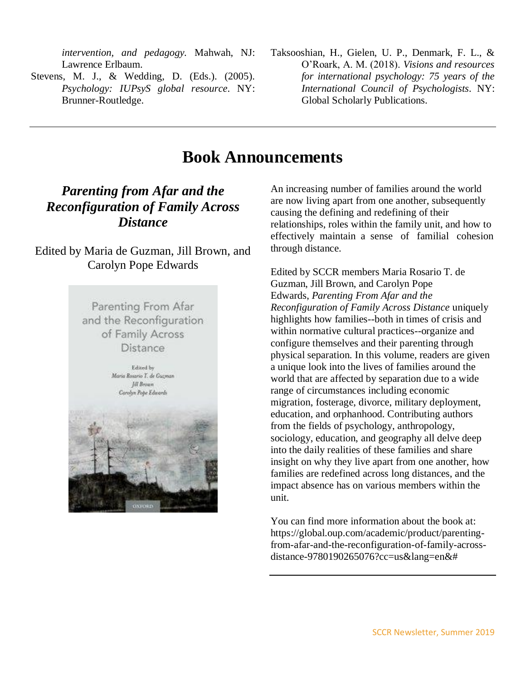*intervention, and pedagogy.* Mahwah, NJ: Lawrence Erlbaum.

- Stevens, M. J., & Wedding, D. (Eds.). (2005). *Psychology: IUPsyS global resource*. NY: Brunner-Routledge.
- Taksooshian, H., Gielen, U. P., Denmark, F. L., & O'Roark, A. M. (2018). *Visions and resources for international psychology: 75 years of the International Council of Psychologists.* NY: Global Scholarly Publications.

# **Book Announcements**

# *Parenting from Afar and the Reconfiguration of Family Across Distance*

### Edited by Maria de Guzman, Jill Brown, and Carolyn Pope Edwards



An increasing number of families around the world are now living apart from one another, subsequently causing the defining and redefining of their relationships, roles within the family unit, and how to effectively maintain a sense of familial cohesion through distance.

Edited by SCCR members Maria Rosario T. de Guzman, Jill Brown, and Carolyn Pope Edwards, *Parenting From Afar and the Reconfiguration of Family Across Distance* uniquely highlights how families--both in times of crisis and within normative cultural practices--organize and configure themselves and their parenting through physical separation. In this volume, readers are given a unique look into the lives of families around the world that are affected by separation due to a wide range of circumstances including economic migration, fosterage, divorce, military deployment, education, and orphanhood. Contributing authors from the fields of psychology, anthropology, sociology, education, and geography all delve deep into the daily realities of these families and share insight on why they live apart from one another, how families are redefined across long distances, and the impact absence has on various members within the unit.

You can find more information about the book at: [https://global.oup.com/academic/product/parenting](https://global.oup.com/academic/product/parenting-from-afar-and-the-reconfiguration-of-family-across-distance-9780190265076?cc=us&lang=en&)[from-afar-and-the-reconfiguration-of-family-across](https://global.oup.com/academic/product/parenting-from-afar-and-the-reconfiguration-of-family-across-distance-9780190265076?cc=us&lang=en&)[distance-9780190265076?cc=us&lang=en&#](https://global.oup.com/academic/product/parenting-from-afar-and-the-reconfiguration-of-family-across-distance-9780190265076?cc=us&lang=en&)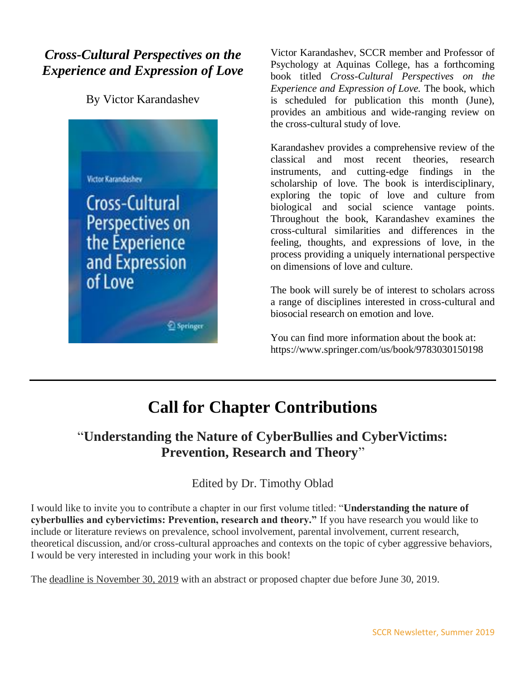# *Cross-Cultural Perspectives on the Experience and Expression of Love*

By Victor Karandashev



Victor Karandashev, SCCR member and Professor of Psychology at Aquinas College, has a forthcoming book titled *Cross-Cultural Perspectives on the Experience and Expression of Love.* The book, which is scheduled for publication this month (June), provides an ambitious and wide-ranging review on the cross-cultural study of love.

Karandashev provides a comprehensive review of the classical and most recent theories, research instruments, and cutting-edge findings in the scholarship of love. The book is interdisciplinary, exploring the topic of love and culture from biological and social science vantage points. Throughout the book, Karandashev examines the cross-cultural similarities and differences in the feeling, thoughts, and expressions of love, in the process providing a uniquely international perspective on dimensions of love and culture.

The book will surely be of interest to scholars across a range of disciplines interested in cross-cultural and biosocial research on emotion and love.

You can find more information about the book at: https://www.springer.com/us/book/9783030150198

# **Call for Chapter Contributions**

# "**Understanding the Nature of CyberBullies and CyberVictims: Prevention, Research and Theory**"

### Edited by Dr. Timothy Oblad

I would like to invite you to contribute a chapter in our first volume titled: "**Understanding the nature of cyberbullies and cybervictims: Prevention, research and theory."** If you have research you would like to include or literature reviews on prevalence, school involvement, parental involvement, current research, theoretical discussion, and/or cross-cultural approaches and contexts on the topic of cyber aggressive behaviors, I would be very interested in including your work in this book!

The deadline is November 30, 2019 with an abstract or proposed chapter due before June 30, 2019.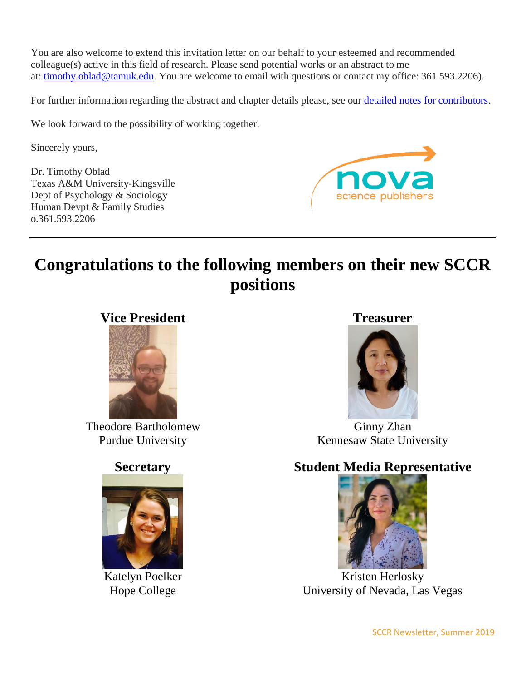You are also welcome to extend this invitation letter on our behalf to your esteemed and recommended colleague(s) active in this field of research. Please send potential works or an abstract to me at: [timothy.oblad@tamuk.edu.](mailto:timothy.oblad@tamuk.edu) You are welcome to email with questions or contact my office: 361.593.2206).

For further information regarding the abstract and chapter details please, see our **detailed notes for contributors**.

We look forward to the possibility of working together.

Sincerely yours,

Dr. Timothy Oblad Texas A&M University-Kingsville Dept of Psychology & Sociology Human Devpt & Family Studies o.361.593.2206



# **Congratulations to the following members on their new SCCR positions**



Theodore Bartholomew Purdue University

# **Secretary**



Katelyn Poelker Hope College

### **Treasurer**



Ginny Zhan Kennesaw State University

# **Student Media Representative**



Kristen Herlosky University of Nevada, Las Vegas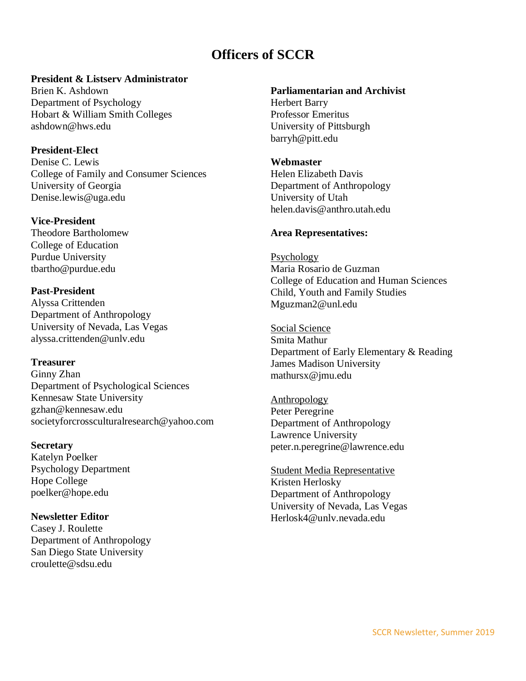# **Officers of SCCR**

### **President & Listserv Administrator**

Brien K. Ashdown Department of Psychology Hobart & William Smith Colleges ashdown@hws.edu

### **President-Elect**

Denise C. Lewis College of Family and Consumer Sciences University of Georgia Denise.lewis@uga.edu

### **Vice-President**

Theodore Bartholomew College of Education Purdue University tbartho@purdue.edu

### **Past-President**

Alyssa Crittenden Department of Anthropology University of Nevada, Las Vegas alyssa.crittenden@unlv.edu

### **Treasurer**

Ginny Zhan Department of Psychological Sciences Kennesaw State University gzhan@kennesaw.edu societyforcrossculturalresearch@yahoo.com

### **Secretary**

Katelyn Poelker Psychology Department Hope College poelker@hope.edu

### **Newsletter Editor**

Casey J. Roulette Department of Anthropology San Diego State University croulette@sdsu.edu

### **Parliamentarian and Archivist**

Herbert Barry Professor Emeritus University of Pittsburgh [barryh@pitt.edu](mailto:barryh@pitt.edu)

### **Webmaster**

Helen Elizabeth Davis Department of Anthropology University of Utah helen.davis@anthro.utah.edu

### **Area Representatives:**

Psychology Maria Rosario de Guzman College of Education and Human Sciences Child, Youth and Family Studies Mguzman2@unl.edu

Social Science Smita Mathur Department of Early Elementary & Reading James Madison University mathursx@jmu.edu

Anthropology Peter Peregrine Department of Anthropology Lawrence University peter.n.peregrine@lawrence.edu

Student Media Representative Kristen Herlosky Department of Anthropology University of Nevada, Las Vegas Herlosk4@unlv.nevada.edu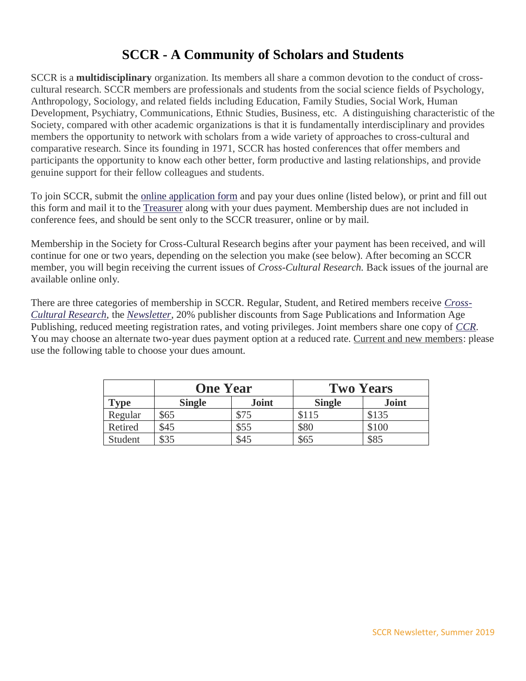# **SCCR - A Community of Scholars and Students**

SCCR is a **multidisciplinary** organization. Its members all share a common devotion to the conduct of crosscultural research. SCCR members are professionals and students from the social science fields of Psychology, Anthropology, Sociology, and related fields including Education, Family Studies, Social Work, Human Development, Psychiatry, Communications, Ethnic Studies, Business, etc. A distinguishing characteristic of the Society, compared with other academic organizations is that it is fundamentally interdisciplinary and provides members the opportunity to network with scholars from a wide variety of approaches to cross-cultural and comparative research. Since its founding in 1971, SCCR has hosted conferences that offer members and participants the opportunity to know each other better, form productive and lasting relationships, and provide genuine support for their fellow colleagues and students.

To join SCCR, submit the [online application form](http://www2.selu.edu/Academics/Faculty/psteib/sccr/membership_form.html) and pay your dues online (listed below), or print and fill out this form and mail it to the [Treasurer](http://www.sccr.org/officers.html) along with your dues payment. Membership dues are not included in conference fees, and should be sent only to the SCCR treasurer, online or by mail.

Membership in the Society for Cross-Cultural Research begins after your payment has been received, and will continue for one or two years, depending on the selection you make (see below). After becoming an SCCR member, you will begin receiving the current issues of *Cross-Cultural Research.* Back issues of the journal are available online only*.*

There are three categories of membership in SCCR. Regular, Student, and Retired members receive *[Cross-](http://www.sccr.org/research.html)[Cultural Research](http://www.sccr.org/research.html)*, the *[Newsletter](http://www.sccr.org/newsletters.html)*, 20% publisher discounts from Sage Publications and Information Age Publishing, reduced meeting registration rates, and voting privileges. Joint members share one copy of *[CCR](http://www.sccr.org/research.html)*. You may choose an alternate two-year dues payment option at a reduced rate. Current and new members: please use the following table to choose your dues amount.

|         | <b>One Year</b> |              | <b>Two Years</b> |              |
|---------|-----------------|--------------|------------------|--------------|
| Type    | <b>Single</b>   | <b>Joint</b> | <b>Single</b>    | <b>Joint</b> |
| Regular | \$65            | \$75         | \$115            | \$135        |
| Retired | \$45            | \$55         | \$80             | \$100        |
| Student | \$35            | \$45         | \$65             | \$85         |